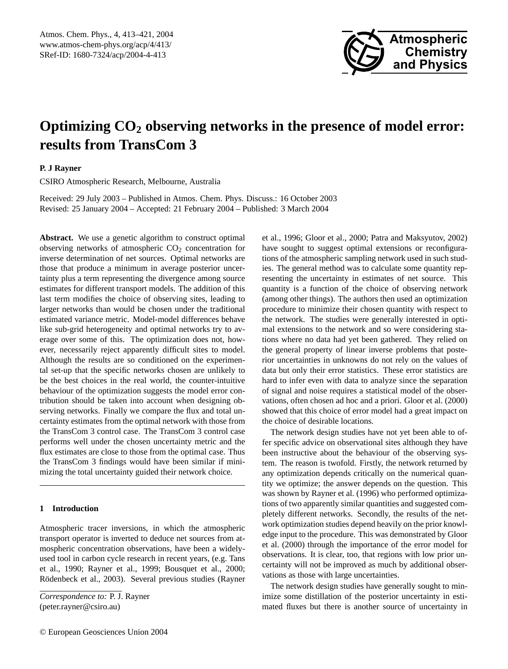

# **Optimizing CO<sup>2</sup> observing networks in the presence of model error: results from TransCom 3**

# **P. J Rayner**

CSIRO Atmospheric Research, Melbourne, Australia

Received: 29 July 2003 – Published in Atmos. Chem. Phys. Discuss.: 16 October 2003 Revised: 25 January 2004 – Accepted: 21 February 2004 – Published: 3 March 2004

Abstract. We use a genetic algorithm to construct optimal observing networks of atmospheric  $CO<sub>2</sub>$  concentration for inverse determination of net sources. Optimal networks are those that produce a minimum in average posterior uncertainty plus a term representing the divergence among source estimates for different transport models. The addition of this last term modifies the choice of observing sites, leading to larger networks than would be chosen under the traditional estimated variance metric. Model-model differences behave like sub-grid heterogeneity and optimal networks try to average over some of this. The optimization does not, however, necessarily reject apparently difficult sites to model. Although the results are so conditioned on the experimental set-up that the specific networks chosen are unlikely to be the best choices in the real world, the counter-intuitive behaviour of the optimization suggests the model error contribution should be taken into account when designing observing networks. Finally we compare the flux and total uncertainty estimates from the optimal network with those from the TransCom 3 control case. The TransCom 3 control case performs well under the chosen uncertainty metric and the flux estimates are close to those from the optimal case. Thus the TransCom 3 findings would have been similar if minimizing the total uncertainty guided their network choice.

## **1 Introduction**

Atmospheric tracer inversions, in which the atmospheric transport operator is inverted to deduce net sources from atmospheric concentration observations, have been a widelyused tool in carbon cycle research in recent years, (e.g. Tans et al., 1990; Rayner et al., 1999; Bousquet et al., 2000; Rödenbeck et al., 2003). Several previous studies (Rayner

*Correspondence to:* P. J. Rayner (peter.rayner@csiro.au)

et al., 1996; Gloor et al., 2000; Patra and Maksyutov, 2002) have sought to suggest optimal extensions or reconfigurations of the atmospheric sampling network used in such studies. The general method was to calculate some quantity representing the uncertainty in estimates of net source. This quantity is a function of the choice of observing network (among other things). The authors then used an optimization procedure to minimize their chosen quantity with respect to the network. The studies were generally interested in optimal extensions to the network and so were considering stations where no data had yet been gathered. They relied on the general property of linear inverse problems that posterior uncertainties in unknowns do not rely on the values of data but only their error statistics. These error statistics are hard to infer even with data to analyze since the separation of signal and noise requires a statistical model of the observations, often chosen ad hoc and a priori. Gloor et al. (2000) showed that this choice of error model had a great impact on the choice of desirable locations.

The network design studies have not yet been able to offer specific advice on observational sites although they have been instructive about the behaviour of the observing system. The reason is twofold. Firstly, the network returned by any optimization depends critically on the numerical quantity we optimize; the answer depends on the question. This was shown by Rayner et al. (1996) who performed optimizations of two apparently similar quantities and suggested completely different networks. Secondly, the results of the network optimization studies depend heavily on the prior knowledge input to the procedure. This was demonstrated by Gloor et al. (2000) through the importance of the error model for observations. It is clear, too, that regions with low prior uncertainty will not be improved as much by additional observations as those with large uncertainties.

The network design studies have generally sought to minimize some distillation of the posterior uncertainty in estimated fluxes but there is another source of uncertainty in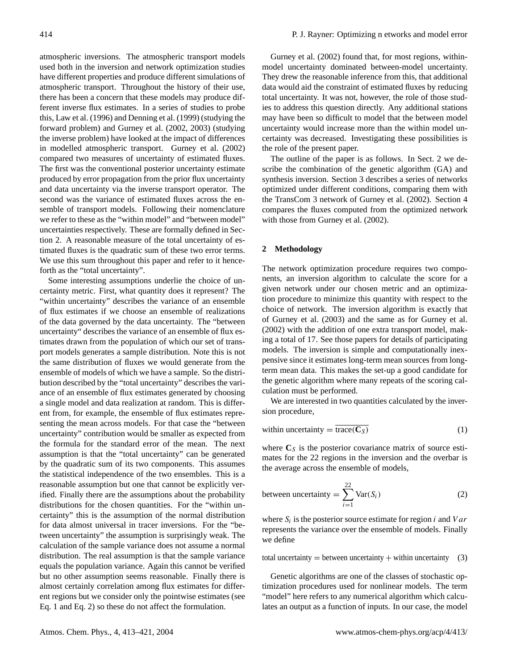atmospheric inversions. The atmospheric transport models used both in the inversion and network optimization studies have different properties and produce different simulations of atmospheric transport. Throughout the history of their use, there has been a concern that these models may produce different inverse flux estimates. In a series of studies to probe this, Law et al. (1996) and Denning et al. (1999) (studying the forward problem) and Gurney et al. (2002, 2003) (studying the inverse problem) have looked at the impact of differences in modelled atmospheric transport. Gurney et al. (2002) compared two measures of uncertainty of estimated fluxes. The first was the conventional posterior uncertainty estimate produced by error propagation from the prior flux uncertainty and data uncertainty via the inverse transport operator. The second was the variance of estimated fluxes across the ensemble of transport models. Following their nomenclature we refer to these as the "within model" and "between model" uncertainties respectively. These are formally defined in Section 2. A reasonable measure of the total uncertainty of estimated fluxes is the quadratic sum of these two error terms. We use this sum throughout this paper and refer to it henceforth as the "total uncertainty".

Some interesting assumptions underlie the choice of uncertainty metric. First, what quantity does it represent? The "within uncertainty" describes the variance of an ensemble of flux estimates if we choose an ensemble of realizations of the data governed by the data uncertainty. The "between uncertainty" describes the variance of an ensemble of flux estimates drawn from the population of which our set of transport models generates a sample distribution. Note this is not the same distribution of fluxes we would generate from the ensemble of models of which we have a sample. So the distribution described by the "total uncertainty" describes the variance of an ensemble of flux estimates generated by choosing a single model and data realization at random. This is different from, for example, the ensemble of flux estimates representing the mean across models. For that case the "between uncertainty" contribution would be smaller as expected from the formula for the standard error of the mean. The next assumption is that the "total uncertainty" can be generated by the quadratic sum of its two components. This assumes the statistical independence of the two ensembles. This is a reasonable assumption but one that cannot be explicitly verified. Finally there are the assumptions about the probability distributions for the chosen quantities. For the "within uncertainty" this is the assumption of the normal distribution for data almost universal in tracer inversions. For the "between uncertainty" the assumption is surprisingly weak. The calculation of the sample variance does not assume a normal distribution. The real assumption is that the sample variance equals the population variance. Again this cannot be verified but no other assumption seems reasonable. Finally there is almost certainly correlation among flux estimates for different regions but we consider only the pointwise estimates (see Eq. 1 and Eq. 2) so these do not affect the formulation.

Gurney et al. (2002) found that, for most regions, withinmodel uncertainty dominated between-model uncertainty. They drew the reasonable inference from this, that additional data would aid the constraint of estimated fluxes by reducing total uncertainty. It was not, however, the role of those studies to address this question directly. Any additional stations may have been so difficult to model that the between model uncertainty would increase more than the within model uncertainty was decreased. Investigating these possibilities is the role of the present paper.

The outline of the paper is as follows. In Sect. 2 we describe the combination of the genetic algorithm (GA) and synthesis inversion. Section 3 describes a series of networks optimized under different conditions, comparing them with the TransCom 3 network of Gurney et al. (2002). Section 4 compares the fluxes computed from the optimized network with those from Gurney et al.  $(2002)$ .

#### **2 Methodology**

The network optimization procedure requires two components, an inversion algorithm to calculate the score for a given network under our chosen metric and an optimization procedure to minimize this quantity with respect to the choice of network. The inversion algorithm is exactly that of Gurney et al. (2003) and the same as for Gurney et al. (2002) with the addition of one extra transport model, making a total of 17. See those papers for details of participating models. The inversion is simple and computationally inexpensive since it estimates long-term mean sources from longterm mean data. This makes the set-up a good candidate for the genetic algorithm where many repeats of the scoring calculation must be performed.

We are interested in two quantities calculated by the inversion procedure,

within uncertainty = 
$$
\overline{\text{trace}(C_S)}
$$
 (1)

where  $C_S$  is the posterior covariance matrix of source estimates for the 22 regions in the inversion and the overbar is the average across the ensemble of models,

between uncertainty = 
$$
\sum_{i=1}^{22} \text{Var}(S_i)
$$
 (2)

where  $S_i$  is the posterior source estimate for region i and  $Var$ represents the variance over the ensemble of models. Finally we define

total uncertainty  $=$  between uncertainty  $+$  within uncertainty (3)

Genetic algorithms are one of the classes of stochastic optimization procedures used for nonlinear models. The term "model" here refers to any numerical algorithm which calculates an output as a function of inputs. In our case, the model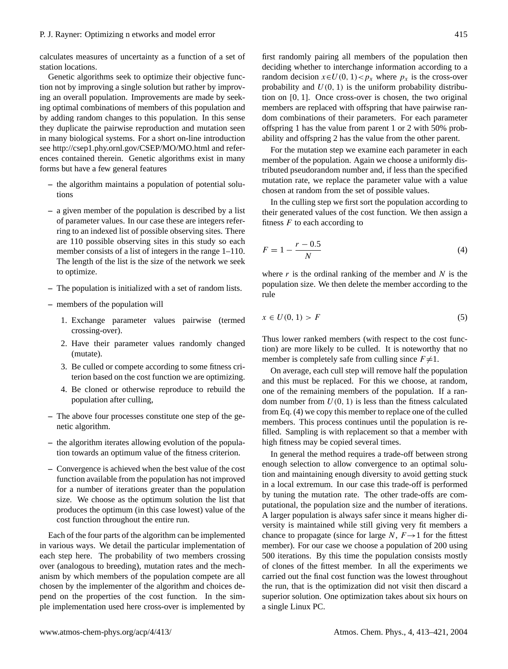calculates measures of uncertainty as a function of a set of station locations.

Genetic algorithms seek to optimize their objective function not by improving a single solution but rather by improving an overall population. Improvements are made by seeking optimal combinations of members of this population and by adding random changes to this population. In this sense they duplicate the pairwise reproduction and mutation seen in many biological systems. For a short on-line introduction see http://csep1.phy.ornl.gov/CSEP/MO/MO.html and references contained therein. Genetic algorithms exist in many forms but have a few general features

- **–** the algorithm maintains a population of potential solutions
- **–** a given member of the population is described by a list of parameter values. In our case these are integers referring to an indexed list of possible observing sites. There are 110 possible observing sites in this study so each member consists of a list of integers in the range 1–110. The length of the list is the size of the network we seek to optimize.
- **–** The population is initialized with a set of random lists.
- **–** members of the population will
	- 1. Exchange parameter values pairwise (termed crossing-over).
	- 2. Have their parameter values randomly changed (mutate).
	- 3. Be culled or compete according to some fitness criterion based on the cost function we are optimizing.
	- 4. Be cloned or otherwise reproduce to rebuild the population after culling,
- **–** The above four processes constitute one step of the genetic algorithm.
- **–** the algorithm iterates allowing evolution of the population towards an optimum value of the fitness criterion.
- **–** Convergence is achieved when the best value of the cost function available from the population has not improved for a number of iterations greater than the population size. We choose as the optimum solution the list that produces the optimum (in this case lowest) value of the cost function throughout the entire run.

Each of the four parts of the algorithm can be implemented in various ways. We detail the particular implementation of each step here. The probability of two members crossing over (analogous to breeding), mutation rates and the mechanism by which members of the population compete are all chosen by the implementer of the algorithm and choices depend on the properties of the cost function. In the simple implementation used here cross-over is implemented by

first randomly pairing all members of the population then deciding whether to interchange information according to a random decision  $x \in U(0, 1) < p_x$  where  $p_x$  is the cross-over probability and  $U(0, 1)$  is the uniform probability distribution on [0, 1]. Once cross-over is chosen, the two original members are replaced with offspring that have pairwise random combinations of their parameters. For each parameter offspring 1 has the value from parent 1 or 2 with 50% probability and offspring 2 has the value from the other parent.

For the mutation step we examine each parameter in each member of the population. Again we choose a uniformly distributed pseudorandom number and, if less than the specified mutation rate, we replace the parameter value with a value chosen at random from the set of possible values.

In the culling step we first sort the population according to their generated values of the cost function. We then assign a fitness  $F$  to each according to

$$
F = 1 - \frac{r - 0.5}{N}
$$
 (4)

where  $r$  is the ordinal ranking of the member and  $N$  is the population size. We then delete the member according to the rule

$$
x \in U(0, 1) > F \tag{5}
$$

Thus lower ranked members (with respect to the cost function) are more likely to be culled. It is noteworthy that no member is completely safe from culling since  $F\neq 1$ .

On average, each cull step will remove half the population and this must be replaced. For this we choose, at random, one of the remaining members of the population. If a random number from  $U(0, 1)$  is less than the fitness calculated from Eq. (4) we copy this member to replace one of the culled members. This process continues until the population is refilled. Sampling is with replacement so that a member with high fitness may be copied several times.

In general the method requires a trade-off between strong enough selection to allow convergence to an optimal solution and maintaining enough diversity to avoid getting stuck in a local extremum. In our case this trade-off is performed by tuning the mutation rate. The other trade-offs are computational, the population size and the number of iterations. A larger population is always safer since it means higher diversity is maintained while still giving very fit members a chance to propagate (since for large N,  $F \rightarrow 1$  for the fittest member). For our case we choose a population of 200 using 500 iterations. By this time the population consists mostly of clones of the fittest member. In all the experiments we carried out the final cost function was the lowest throughout the run, that is the optimization did not visit then discard a superior solution. One optimization takes about six hours on a single Linux PC.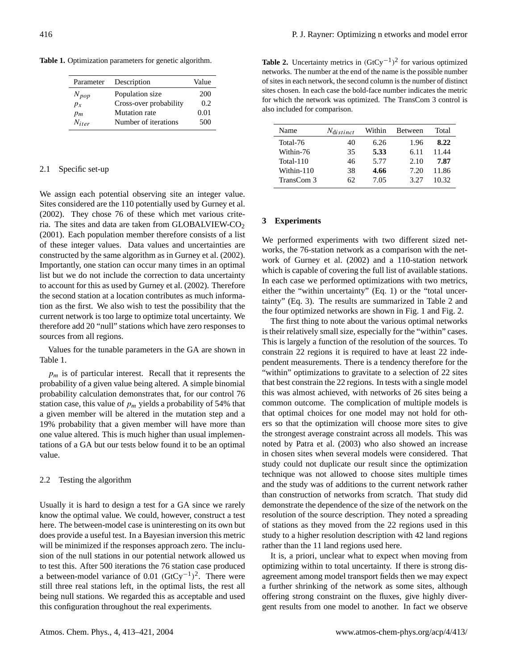**Table 1.** Optimization parameters for genetic algorithm.

| Parameter  | Description            | Value |
|------------|------------------------|-------|
| $N_{pop}$  | Population size        | 200   |
| $p_{x}$    | Cross-over probability | 0.2   |
| $p_m$      | <b>Mutation</b> rate   | 0.01  |
| $N_{iter}$ | Number of iterations   | 500   |

#### 2.1 Specific set-up

We assign each potential observing site an integer value. Sites considered are the 110 potentially used by Gurney et al. (2002). They chose 76 of these which met various criteria. The sites and data are taken from GLOBALVIEW- $CO<sub>2</sub>$ (2001). Each population member therefore consists of a list of these integer values. Data values and uncertainties are constructed by the same algorithm as in Gurney et al. (2002). Importantly, one station can occur many times in an optimal list but we do not include the correction to data uncertainty to account for this as used by Gurney et al. (2002). Therefore the second station at a location contributes as much information as the first. We also wish to test the possibility that the current network is too large to optimize total uncertainty. We therefore add 20 "null" stations which have zero responses to sources from all regions.

Values for the tunable parameters in the GA are shown in Table 1.

 $p_m$  is of particular interest. Recall that it represents the probability of a given value being altered. A simple binomial probability calculation demonstrates that, for our control 76 station case, this value of  $p_m$  yields a probability of 54% that a given member will be altered in the mutation step and a 19% probability that a given member will have more than one value altered. This is much higher than usual implementations of a GA but our tests below found it to be an optimal value.

## 2.2 Testing the algorithm

Usually it is hard to design a test for a GA since we rarely know the optimal value. We could, however, construct a test here. The between-model case is uninteresting on its own but does provide a useful test. In a Bayesian inversion this metric will be minimized if the responses approach zero. The inclusion of the null stations in our potential network allowed us to test this. After 500 iterations the 76 station case produced a between-model variance of 0.01  $(GtCy^{-1})^2$ . There were still three real stations left, in the optimal lists, the rest all being null stations. We regarded this as acceptable and used this configuration throughout the real experiments.

**Table 2.** Uncertainty metrics in  $(GtCy^{-1})^2$  for various optimized networks. The number at the end of the name is the possible number of sites in each network, the second column is the number of distinct sites chosen. In each case the bold-face number indicates the metric for which the network was optimized. The TransCom 3 control is also included for comparison.

| Name        | Ndistinct | Within | Between | Total |
|-------------|-----------|--------|---------|-------|
| Total-76    | 40        | 6.26   | 1.96    | 8.22  |
| Within-76   | 35        | 5.33   | 6.11    | 11.44 |
| $Total-110$ | 46        | 5.77   | 2.10    | 7.87  |
| Within-110  | 38        | 4.66   | 7.20    | 11.86 |
| TransCom 3  | 62.       | 7.05   | 3.27    | 10.32 |

## **3 Experiments**

We performed experiments with two different sized networks, the 76-station network as a comparison with the network of Gurney et al. (2002) and a 110-station network which is capable of covering the full list of available stations. In each case we performed optimizations with two metrics, either the "within uncertainty" (Eq. 1) or the "total uncertainty" (Eq. 3). The results are summarized in Table 2 and the four optimized networks are shown in Fig. 1 and Fig. 2.

The first thing to note about the various optimal networks is their relatively small size, especially for the "within" cases. This is largely a function of the resolution of the sources. To constrain 22 regions it is required to have at least 22 independent measurements. There is a tendency therefore for the "within" optimizations to gravitate to a selection of 22 sites that best constrain the 22 regions. In tests with a single model this was almost achieved, with networks of 26 sites being a common outcome. The complication of multiple models is that optimal choices for one model may not hold for others so that the optimization will choose more sites to give the strongest average constraint across all models. This was noted by Patra et al. (2003) who also showed an increase in chosen sites when several models were considered. That study could not duplicate our result since the optimization technique was not allowed to choose sites multiple times and the study was of additions to the current network rather than construction of networks from scratch. That study did demonstrate the dependence of the size of the network on the resolution of the source description. They noted a spreading of stations as they moved from the 22 regions used in this study to a higher resolution description with 42 land regions rather than the 11 land regions used here.

It is, a priori, unclear what to expect when moving from optimizing within to total uncertainty. If there is strong disagreement among model transport fields then we may expect a further shrinking of the network as some sites, although offering strong constraint on the fluxes, give highly divergent results from one model to another. In fact we observe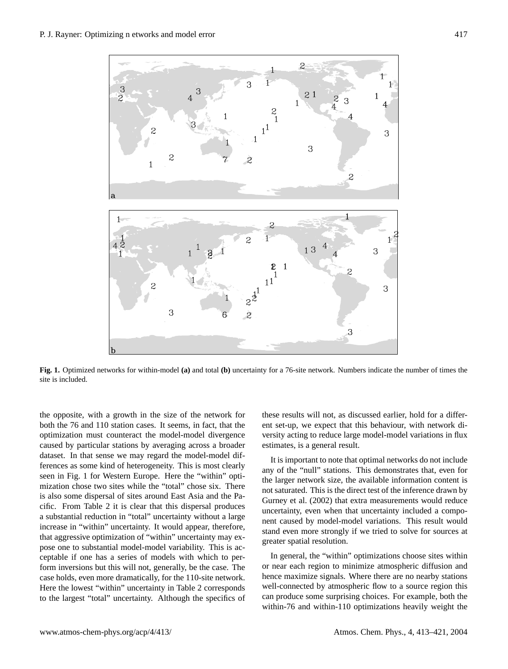

**Fig. 1.** Optimized networks for within-model **(a)** and total **(b)** uncertainty for a 76-site network. Numbers indicate the number of times the site is included.

the opposite, with a growth in the size of the network for both the 76 and 110 station cases. It seems, in fact, that the optimization must counteract the model-model divergence caused by particular stations by averaging across a broader dataset. In that sense we may regard the model-model differences as some kind of heterogeneity. This is most clearly seen in Fig. 1 for Western Europe. Here the "within" optimization chose two sites while the "total" chose six. There is also some dispersal of sites around East Asia and the Pacific. From Table 2 it is clear that this dispersal produces a substantial reduction in "total" uncertainty without a large increase in "within" uncertainty. It would appear, therefore, that aggressive optimization of "within" uncertainty may expose one to substantial model-model variability. This is acceptable if one has a series of models with which to perform inversions but this will not, generally, be the case. The case holds, even more dramatically, for the 110-site network. Here the lowest "within" uncertainty in Table 2 corresponds to the largest "total" uncertainty. Although the specifics of these results will not, as discussed earlier, hold for a different set-up, we expect that this behaviour, with network diversity acting to reduce large model-model variations in flux estimates, is a general result.

It is important to note that optimal networks do not include any of the "null" stations. This demonstrates that, even for the larger network size, the available information content is not saturated. This is the direct test of the inference drawn by Gurney et al. (2002) that extra measurements would reduce uncertainty, even when that uncertainty included a component caused by model-model variations. This result would stand even more strongly if we tried to solve for sources at greater spatial resolution.

In general, the "within" optimizations choose sites within or near each region to minimize atmospheric diffusion and hence maximize signals. Where there are no nearby stations well-connected by atmospheric flow to a source region this can produce some surprising choices. For example, both the within-76 and within-110 optimizations heavily weight the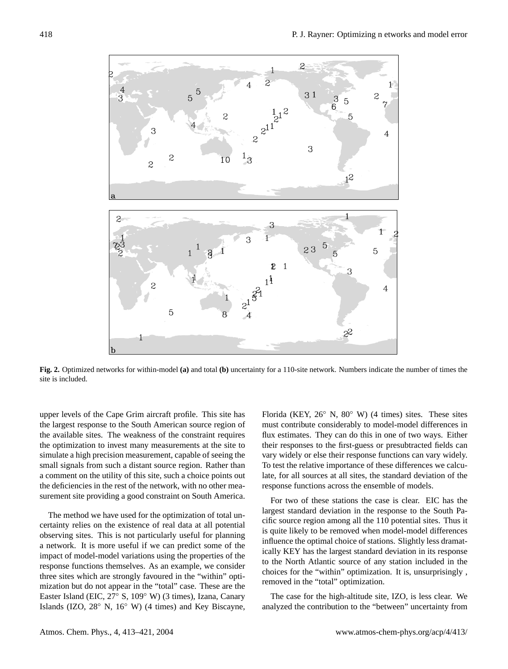

**Fig. 2.** Optimized networks for within-model **(a)** and total **(b)** uncertainty for a 110-site network. Numbers indicate the number of times the site is included.

upper levels of the Cape Grim aircraft profile. This site has the largest response to the South American source region of the available sites. The weakness of the constraint requires the optimization to invest many measurements at the site to simulate a high precision measurement, capable of seeing the small signals from such a distant source region. Rather than a comment on the utility of this site, such a choice points out the deficiencies in the rest of the network, with no other measurement site providing a good constraint on South America.

The method we have used for the optimization of total uncertainty relies on the existence of real data at all potential observing sites. This is not particularly useful for planning a network. It is more useful if we can predict some of the impact of model-model variations using the properties of the response functions themselves. As an example, we consider three sites which are strongly favoured in the "within" optimization but do not appear in the "total" case. These are the Easter Island (EIC, 27◦ S, 109◦ W) (3 times), Izana, Canary Islands (IZO, 28◦ N, 16◦ W) (4 times) and Key Biscayne, Florida (KEY, 26◦ N, 80◦ W) (4 times) sites. These sites must contribute considerably to model-model differences in flux estimates. They can do this in one of two ways. Either their responses to the first-guess or presubtracted fields can vary widely or else their response functions can vary widely. To test the relative importance of these differences we calculate, for all sources at all sites, the standard deviation of the response functions across the ensemble of models.

For two of these stations the case is clear. EIC has the largest standard deviation in the response to the South Pacific source region among all the 110 potential sites. Thus it is quite likely to be removed when model-model differences influence the optimal choice of stations. Slightly less dramatically KEY has the largest standard deviation in its response to the North Atlantic source of any station included in the choices for the "within" optimization. It is, unsurprisingly , removed in the "total" optimization.

The case for the high-altitude site, IZO, is less clear. We analyzed the contribution to the "between" uncertainty from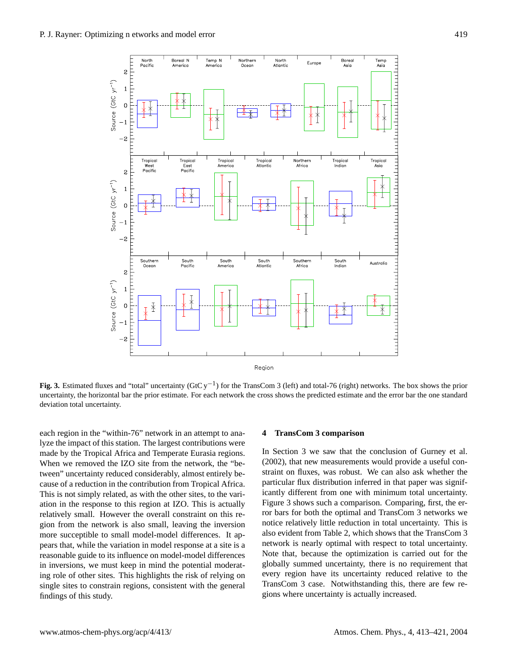

**Fig. 3.** Estimated fluxes and "total" uncertainty (GtC y−<sup>1</sup> ) for the TransCom 3 (left) and total-76 (right) networks. The box shows the prior uncertainty, the horizontal bar the prior estimate. For each network the cross shows the predicted estimate and the error bar the one standard deviation total uncertainty.

each region in the "within-76" network in an attempt to analyze the impact of this station. The largest contributions were made by the Tropical Africa and Temperate Eurasia regions. When we removed the IZO site from the network, the "between" uncertainty reduced considerably, almost entirely because of a reduction in the contribution from Tropical Africa. This is not simply related, as with the other sites, to the variation in the response to this region at IZO. This is actually relatively small. However the overall constraint on this region from the network is also small, leaving the inversion more succeptible to small model-model differences. It appears that, while the variation in model response at a site is a reasonable guide to its influence on model-model differences in inversions, we must keep in mind the potential moderating role of other sites. This highlights the risk of relying on single sites to constrain regions, consistent with the general findings of this study.

## **4 TransCom 3 comparison**

In Section 3 we saw that the conclusion of Gurney et al. (2002), that new measurements would provide a useful constraint on fluxes, was robust. We can also ask whether the particular flux distribution inferred in that paper was significantly different from one with minimum total uncertainty. Figure 3 shows such a comparison. Comparing, first, the error bars for both the optimal and TransCom 3 networks we notice relatively little reduction in total uncertainty. This is also evident from Table 2, which shows that the TransCom 3 network is nearly optimal with respect to total uncertainty. Note that, because the optimization is carried out for the globally summed uncertainty, there is no requirement that every region have its uncertainty reduced relative to the TransCom 3 case. Notwithstanding this, there are few regions where uncertainty is actually increased.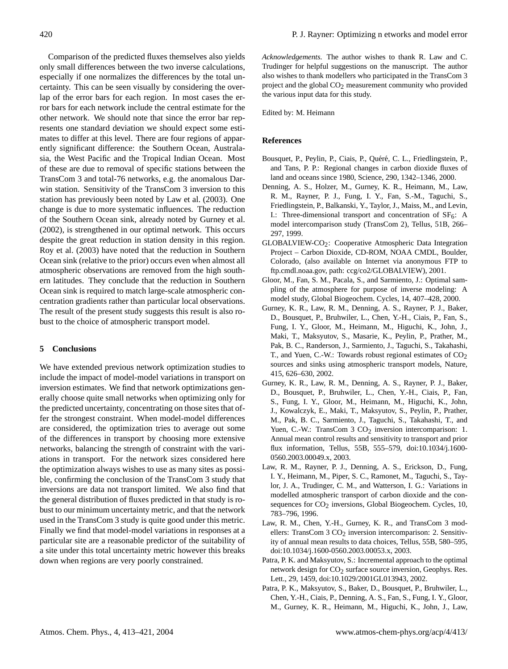Comparison of the predicted fluxes themselves also yields only small differences between the two inverse calculations, especially if one normalizes the differences by the total uncertainty. This can be seen visually by considering the overlap of the error bars for each region. In most cases the error bars for each network include the central estimate for the other network. We should note that since the error bar represents one standard deviation we should expect some estimates to differ at this level. There are four regions of apparently significant difference: the Southern Ocean, Australasia, the West Pacific and the Tropical Indian Ocean. Most of these are due to removal of specific stations between the TransCom 3 and total-76 networks, e.g. the anomalous Darwin station. Sensitivity of the TransCom 3 inversion to this station has previously been noted by Law et al. (2003). One change is due to more systematic influences. The reduction of the Southern Ocean sink, already noted by Gurney et al. (2002), is strengthened in our optimal network. This occurs despite the great reduction in station density in this region. Roy et al. (2003) have noted that the reduction in Southern Ocean sink (relative to the prior) occurs even when almost all atmospheric observations are removed from the high southern latitudes. They conclude that the reduction in Southern Ocean sink is required to match large-scale atmospheric concentration gradients rather than particular local observations. The result of the present study suggests this result is also robust to the choice of atmospheric transport model.

## **5 Conclusions**

We have extended previous network optimization studies to include the impact of model-model variations in transport on inversion estimates. We find that network optimizations generally choose quite small networks when optimizing only for the predicted uncertainty, concentrating on those sites that offer the strongest constraint. When model-model differences are considered, the optimization tries to average out some of the differences in transport by choosing more extensive networks, balancing the strength of constraint with the variations in transport. For the network sizes considered here the optimization always wishes to use as many sites as possible, confirming the conclusion of the TransCom 3 study that inversions are data not transport limited. We also find that the general distribution of fluxes predicted in that study is robust to our minimum uncertainty metric, and that the network used in the TransCom 3 study is quite good under this metric. Finally we find that model-model variations in responses at a particular site are a reasonable predictor of the suitability of a site under this total uncertainty metric however this breaks down when regions are very poorly constrained.

*Acknowledgements.* The author wishes to thank R. Law and C. Trudinger for helpful suggestions on the manuscript. The author also wishes to thank modellers who participated in the TransCom 3 project and the global  $CO<sub>2</sub>$  measurement community who provided the various input data for this study.

Edited by: M. Heimann

#### **References**

- Bousquet, P., Peylin, P., Ciais, P., Quéré, C. L., Friedlingstein, P., and Tans, P. P.: Regional changes in carbon dioxide fluxes of land and oceans since 1980, Science, 290, 1342–1346, 2000.
- Denning, A. S., Holzer, M., Gurney, K. R., Heimann, M., Law, R. M., Rayner, P. J., Fung, I. Y., Fan, S.-M., Taguchi, S., Friedlingstein, P., Balkanski, Y., Taylor, J., Maiss, M., and Levin, I.: Three-dimensional transport and concentration of  $SF_6$ : A model intercomparison study (TransCom 2), Tellus, 51B, 266– 297, 1999.
- GLOBALVIEW-CO<sub>2</sub>: Cooperative Atmospheric Data Integration Project – Carbon Dioxide, CD-ROM, NOAA CMDL, Boulder, Colorado, (also available on Internet via anonymous FTP to ftp.cmdl.noaa.gov, path: ccg/co2/GLOBALVIEW), 2001.
- Gloor, M., Fan, S. M., Pacala, S., and Sarmiento, J.: Optimal sampling of the atmosphere for purpose of inverse modeling: A model study, Global Biogeochem. Cycles, 14, 407–428, 2000.
- Gurney, K. R., Law, R. M., Denning, A. S., Rayner, P. J., Baker, D., Bousquet, P., Bruhwiler, L., Chen, Y.-H., Ciais, P., Fan, S., Fung, I. Y., Gloor, M., Heimann, M., Higuchi, K., John, J., Maki, T., Maksyutov, S., Masarie, K., Peylin, P., Prather, M., Pak, B. C., Randerson, J., Sarmiento, J., Taguchi, S., Takahashi, T., and Yuen, C.-W.: Towards robust regional estimates of  $CO<sub>2</sub>$ sources and sinks using atmospheric transport models, Nature, 415, 626–630, 2002.
- Gurney, K. R., Law, R. M., Denning, A. S., Rayner, P. J., Baker, D., Bousquet, P., Bruhwiler, L., Chen, Y.-H., Ciais, P., Fan, S., Fung, I. Y., Gloor, M., Heimann, M., Higuchi, K., John, J., Kowalczyk, E., Maki, T., Maksyutov, S., Peylin, P., Prather, M., Pak, B. C., Sarmiento, J., Taguchi, S., Takahashi, T., and Yuen, C.-W.: TransCom  $3 \text{ CO}_2$  inversion intercomparison: 1. Annual mean control results and sensitivity to transport and prior flux information, Tellus, 55B, 555–579, doi:10.1034/j.1600- 0560.2003.00049.x, 2003.
- Law, R. M., Rayner, P. J., Denning, A. S., Erickson, D., Fung, I. Y., Heimann, M., Piper, S. C., Ramonet, M., Taguchi, S., Taylor, J. A., Trudinger, C. M., and Watterson, I. G.: Variations in modelled atmospheric transport of carbon dioxide and the consequences for  $CO<sub>2</sub>$  inversions, Global Biogeochem. Cycles, 10, 783–796, 1996.
- Law, R. M., Chen, Y.-H., Gurney, K. R., and TransCom 3 modellers: TransCom 3 CO<sub>2</sub> inversion intercomparison: 2. Sensitivity of annual mean results to data choices, Tellus, 55B, 580–595, doi:10.1034/j.1600-0560.2003.00053.x, 2003.
- Patra, P. K. and Maksyutov, S.: Incremental approach to the optimal network design for  $CO<sub>2</sub>$  surface source inversion, Geophys. Res. Lett., 29, 1459, doi:10.1029/2001GL013943, 2002.
- Patra, P. K., Maksyutov, S., Baker, D., Bousquet, P., Bruhwiler, L., Chen, Y.-H., Ciais, P., Denning, A. S., Fan, S., Fung, I. Y., Gloor, M., Gurney, K. R., Heimann, M., Higuchi, K., John, J., Law,